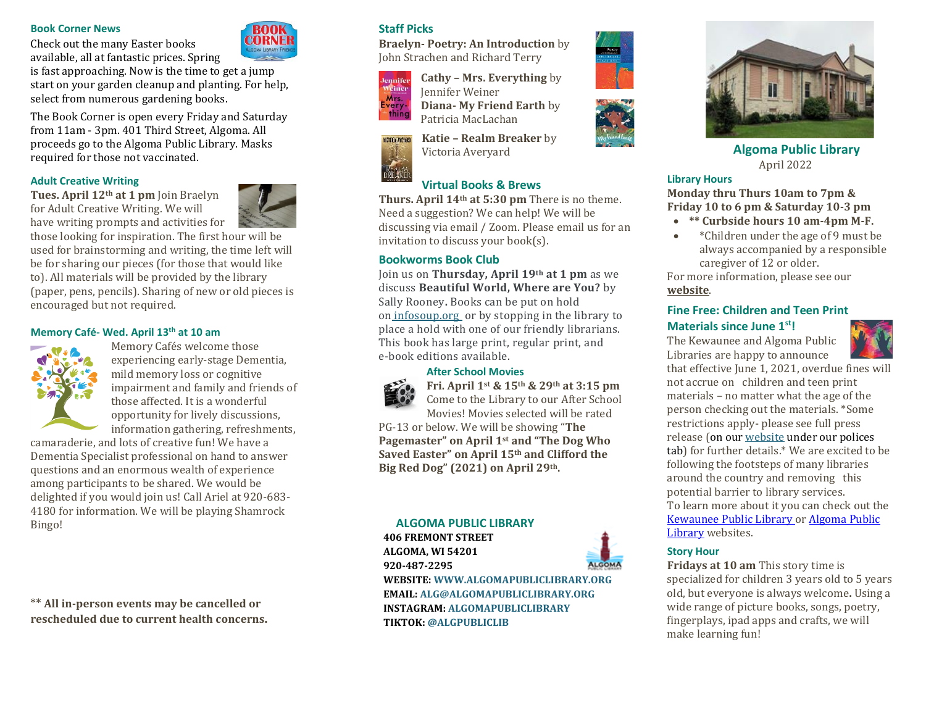### **Book Corner News**

Check out the many Easter books available, all at fantastic prices. Spring

is fast approaching. Now is the time to get a jump start on your garden cleanup and planting. For help, select from numerous gardening books.

The Book Corner is open every Friday and Saturday from 11am - 3pm. 401 Third Street, Algoma. All proceeds go to the Algoma Public Library. Masks required for those not vaccinated.

#### **Adult Creative Writing**

**Tues. April 12th at 1 pm** Join Braelyn for Adult Creative Writing. We will have writing prompts and activities for



those looking for inspiration. The first hour will be used for brainstorming and writing, the time left will be for sharing our pieces (for those that would like to). All materials will be provided by the library (paper, pens, pencils). Sharing of new or old pieces is encouraged but not required.

# **Memory Café- Wed. April 13th at 10 am**



Memory Cafés welcome those experiencing early-stage Dementia, mild memory loss or cognitive impairment and family and friends of those affected. It is a wonderful opportunity for lively discussions, information gathering, refreshments,

camaraderie, and lots of creative fun! We have a Dementia Specialist professional on hand to answer questions and an enormous wealth of experience among participants to be shared. We would be delighted if you would join us! Call Ariel at 920-683- 4180 for information. We will be playing Shamrock Bingo!

\*\* **All in-person events may be cancelled or rescheduled due to current health concerns.**

## **Staff Picks**

**Braelyn- Poetry: An Introduction** by John Strachen and Richard Terry



VICTORIA AVEYARD

**Cathy – Mrs. Everything** by Jennifer Weiner **Diana- My Friend Earth** by Patricia MacLachan

**Katie – Realm Breaker** by Victoria Averyard

# **Virtual Books & Brews**

**Thurs. April 14th at 5:30 pm** There is no theme. Need a suggestion? We can help! We will be discussing via email / Zoom. Please email us for an invitation to discuss your book(s).

## **Bookworms Book Club**

Join us on **Thursday, April 19th at 1 pm** as we discuss **Beautiful World, Where are You?** by Sally Rooney**.** Books can be put on hold on [infosoup.](https://infosoup.bibliocommons.com/v2/search?query=beautiful+world%2C+where+are+you&searchType=Keyword)org or by stopping in the library to place a hold with one of our friendly librarians. This book has large print, regular print, and e-book editions available.

#### **After School Movies**



**Fri. April 1st & 15th & 29th at 3:15 pm**  Come to the Library to our After School

Movies! Movies selected will be rated PG-13 or below. We will be showing "**The Pagemaster" on April 1st and "The Dog Who Saved Easter" on April 15th and Clifford the Big Red Dog" (2021) on April 29th.** 

# **ALGOMA PUBLIC LIBRARY 406 FREMONT STREET ALGOMA, WI 54201**

**920-487-2295**

**WEBSITE: WWW.ALGOMAPUBLICLIBRARY.ORG EMAIL: ALG@ALGOMAPUBLICLIBRARY.ORG INSTAGRAM: ALGOMAPUBLICLIBRARY TIKTOK: @ALGPUBLICLIB**







**Algoma Public Library** April 2022

#### **Library Hours**

**Monday thru Thurs 10am to 7pm & Friday 10 to 6 pm & Saturday 10-3 pm**

- **\*\* Curbside hours 10 am-4pm M-F.**
- \*Children under the age of 9 must be always accompanied by a responsible caregiver of 12 or older.

For more information, please see our **[website](https://www.algomapubliclibrary.org/reopening-plan.html)**.

## **Fine Free: Children and Teen Print Materials since June 1st!**

The Kewaunee and Algoma Public Libraries are happy to announce



that effective June 1, 2021, overdue fines will not accrue on children and teen print materials – no matter what the age of the person checking out the materials. \*Some restrictions apply- please see full press release (on ou[r website](https://www.algomapubliclibrary.org/fine-free-press-release.html) under our polices tab) for further details.\* We are excited to be following the footsteps of many libraries around the country and removing this potential barrier to library services. To learn more about it you can check out the [Kewaunee Public Library o](https://www.kewauneepubliclibrary.org/)r [Algoma Public](https://www.algomapubliclibrary.org/)  [Library](https://www.algomapubliclibrary.org/) websites.

#### **Story Hour**

**Fridays at 10 am** This story time is specialized for children 3 years old to 5 years old, but everyone is always welcome**.** Using a wide range of picture books, songs, poetry, fingerplays, ipad apps and crafts, we will make learning fun!